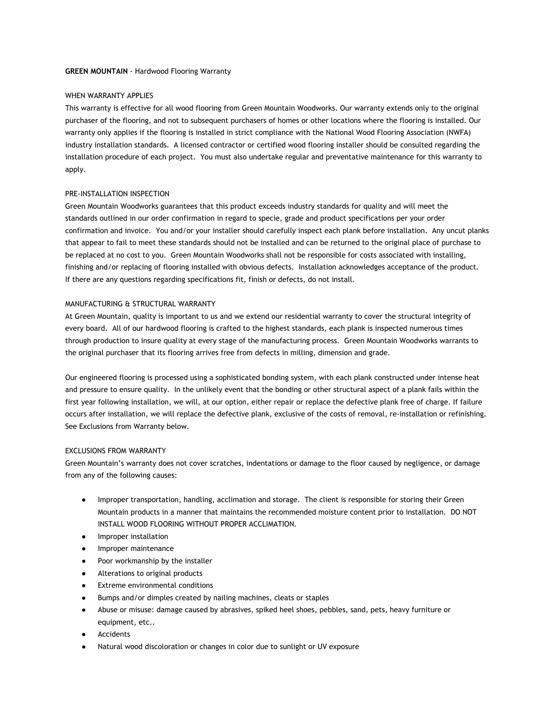#### **GREEN MOUNTAIN** - Hardwood Flooring Warranty

#### WHEN WARRANTY APPLIES

This warranty is effective for all wood flooring from Green Mountain Woodworks. Our warranty extends only to the original purchaser of the flooring, and not to subsequent purchasers of homes or other locations where the flooring is installed. Our warranty only applies if the flooring is installed in strict compliance with the National Wood Flooring Association (NWFA) industry installation standards. A licensed contractor or certified wood flooring installer should be consulted regarding the installation procedure of each project. You must also undertake regular and preventative maintenance for this warranty to apply.

#### PRE-INSTALLATION INSPECTION

Green Mountain Woodworks guarantees that this product exceeds industry standards for quality and will meet the standards outlined in our order confirmation in regard to specie, grade and product specifications per your order confirmation and invoice. You and/or your installer should carefully inspect each plank before installation. Any uncut planks that appear to fail to meet these standards should not be installed and can be returned to the original place of purchase to be replaced at no cost to you. Green Mountain Woodworks shall not be responsible for costs associated with installing, finishing and/or replacing of flooring installed with obvious defects. Installation acknowledges acceptance of the product. If there are any questions regarding specifications fit, finish or defects, do not install.

### MANUFACTURING & STRUCTURAL WARRANTY

At Green Mountain, quality is important to us and we extend our residential warranty to cover the structural integrity of every board. All of our hardwood flooring is crafted to the highest standards, each plank is inspected numerous times through production to insure quality at every stage of the manufacturing process. Green Mountain Woodworks warrants to the original purchaser that its flooring arrives free from defects in milling, dimension and grade.

Our engineered flooring is processed using a sophisticated bonding system, with each plank constructed under intense heat and pressure to ensure quality. In the unlikely event that the bonding or other structural aspect of a plank fails within the first year following installation, we will, at our option, either repair or replace the defective plank free of charge. If failure occurs after installation, we will replace the defective plank, exclusive of the costs of removal, re-installation or refinishing. See Exclusions from Warranty below.

#### EXCLUSIONS FROM WARRANTY

Green Mountain's warranty does not cover scratches, indentations or damage to the floor caused by negligence, or damage from any of the following causes:

- Improper transportation, handling, acclimation and storage. The client is responsible for storing their Green Mountain products in a manner that maintains the recommended moisture content prior to installation. DO NOT INSTALL WOOD FLOORING WITHOUT PROPER ACCLIMATION.
- Improper installation
- Improper maintenance
- Poor workmanship by the installer
- Alterations to original products
- Extreme environmental conditions
- Bumps and/or dimples created by nailing machines, cleats or staples
- Abuse or misuse: damage caused by abrasives, spiked heel shoes, pebbles, sand, pets, heavy furniture or equipment, etc..
- Accidents
- Natural wood discoloration or changes in color due to sunlight or UV exposure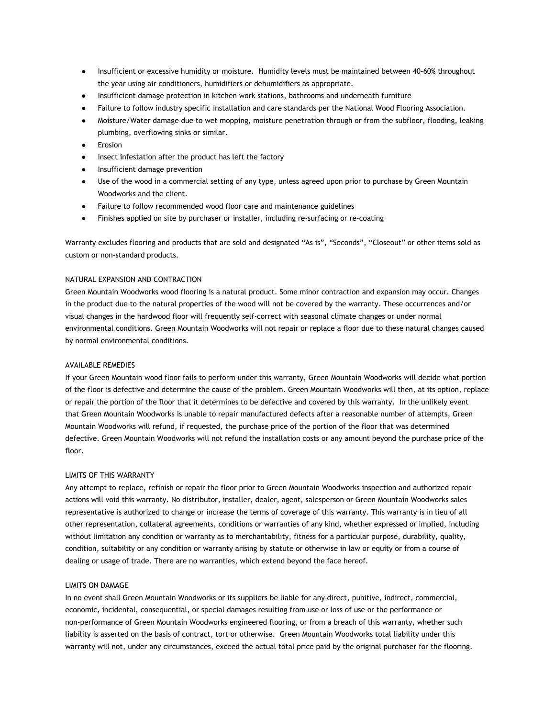- Insufficient or excessive humidity or moisture. Humidity levels must be maintained between 40-60% throughout the year using air conditioners, humidifiers or dehumidifiers as appropriate.
- Insufficient damage protection in kitchen work stations, bathrooms and underneath furniture
- Failure to follow industry specific installation and care standards per the National Wood Flooring Association.
- Moisture/Water damage due to wet mopping, moisture penetration through or from the subfloor, flooding, leaking plumbing, overflowing sinks or similar.
- Erosion
- Insect infestation after the product has left the factory
- Insufficient damage prevention
- Use of the wood in a commercial setting of any type, unless agreed upon prior to purchase by Green Mountain Woodworks and the client.
- Failure to follow recommended wood floor care and maintenance guidelines
- Finishes applied on site by purchaser or installer, including re-surfacing or re-coating

Warranty excludes flooring and products that are sold and designated "As is", "Seconds", "Closeout" or other items sold as custom or non-standard products.

## NATURAL EXPANSION AND CONTRACTION

Green Mountain Woodworks wood flooring is a natural product. Some minor contraction and expansion may occur. Changes in the product due to the natural properties of the wood will not be covered by the warranty. These occurrences and/or visual changes in the hardwood floor will frequently self-correct with seasonal climate changes or under normal environmental conditions. Green Mountain Woodworks will not repair or replace a floor due to these natural changes caused by normal environmental conditions.

### AVAILABLE REMEDIES

If your Green Mountain wood floor fails to perform under this warranty, Green Mountain Woodworks will decide what portion of the floor is defective and determine the cause of the problem. Green Mountain Woodworks will then, at its option, replace or repair the portion of the floor that it determines to be defective and covered by this warranty. In the unlikely event that Green Mountain Woodworks is unable to repair manufactured defects after a reasonable number of attempts, Green Mountain Woodworks will refund, if requested, the purchase price of the portion of the floor that was determined defective. Green Mountain Woodworks will not refund the installation costs or any amount beyond the purchase price of the floor.

### LIMITS OF THIS WARRANTY

Any attempt to replace, refinish or repair the floor prior to Green Mountain Woodworks inspection and authorized repair actions will void this warranty. No distributor, installer, dealer, agent, salesperson or Green Mountain Woodworks sales representative is authorized to change or increase the terms of coverage of this warranty. This warranty is in lieu of all other representation, collateral agreements, conditions or warranties of any kind, whether expressed or implied, including without limitation any condition or warranty as to merchantability, fitness for a particular purpose, durability, quality, condition, suitability or any condition or warranty arising by statute or otherwise in law or equity or from a course of dealing or usage of trade. There are no warranties, which extend beyond the face hereof.

### LIMITS ON DAMAGE

In no event shall Green Mountain Woodworks or its suppliers be liable for any direct, punitive, indirect, commercial, economic, incidental, consequential, or special damages resulting from use or loss of use or the performance or non-performance of Green Mountain Woodworks engineered flooring, or from a breach of this warranty, whether such liability is asserted on the basis of contract, tort or otherwise. Green Mountain Woodworks total liability under this warranty will not, under any circumstances, exceed the actual total price paid by the original purchaser for the flooring.